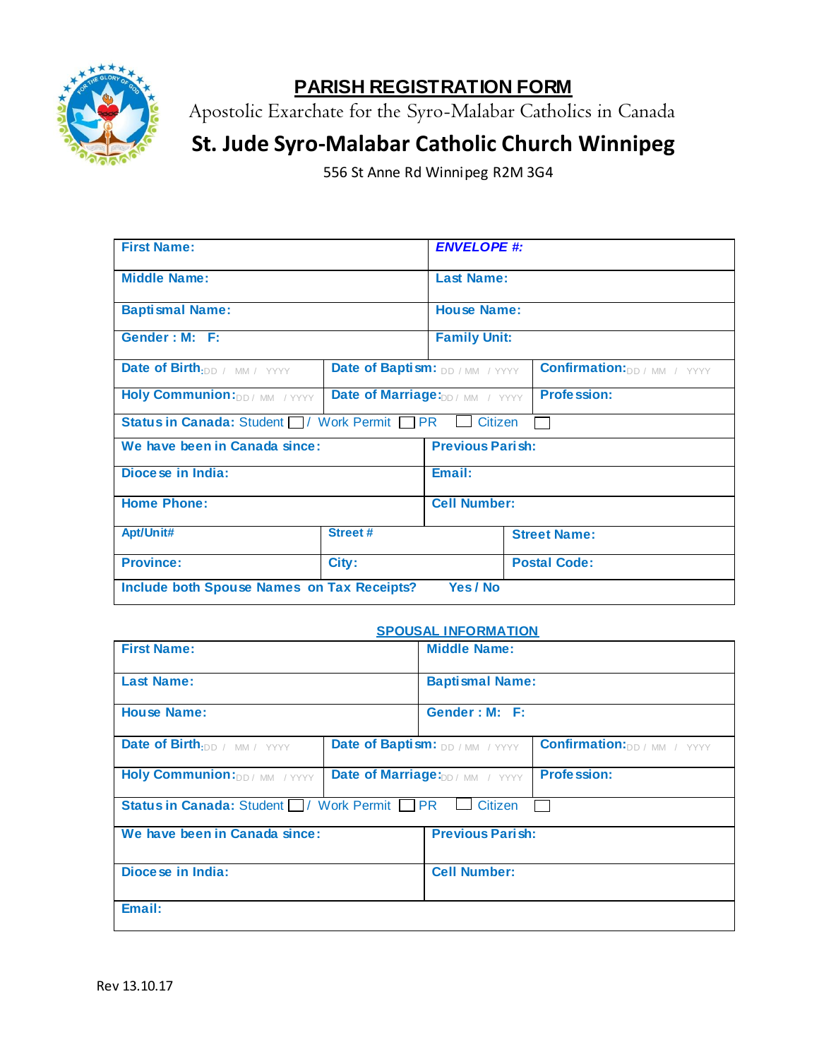

## **PARISH REGISTRATION FORM**

Apostolic Exarchate for the Syro-Malabar Catholics in Canada

## **St. Jude Syro-Malabar Catholic Church Winnipeg**

556 St Anne Rd Winnipeg R2M 3G4

| <b>First Name:</b>                                |                                         | <b>ENVELOPE #:</b>      |                                     |  |
|---------------------------------------------------|-----------------------------------------|-------------------------|-------------------------------------|--|
| <b>Middle Name:</b>                               |                                         | <b>Last Name:</b>       |                                     |  |
| <b>Baptismal Name:</b>                            |                                         | <b>House Name:</b>      |                                     |  |
| Gender: M: F:                                     |                                         | <b>Family Unit:</b>     |                                     |  |
| Date of Birth:DD / MM / YYYY                      | Date of Baptism: DD / MM / YYYY         |                         | <b>Confirmation:</b> DD / MM / YYYY |  |
| <b>Holy Communion:</b> DD/MM / YYYY               | <b>Date of Marriage:</b> DD / MM / YYYY |                         | <b>Profession:</b>                  |  |
| Status in Canada: Student   / Work Permit   PR    |                                         | <b>Citizen</b>          |                                     |  |
| We have been in Canada since:                     |                                         | <b>Previous Parish:</b> |                                     |  |
| Diocese in India:                                 |                                         | Email:                  |                                     |  |
| <b>Home Phone:</b>                                |                                         | <b>Cell Number:</b>     |                                     |  |
| Apt/Unit#                                         | <b>Street#</b>                          |                         | <b>Street Name:</b>                 |  |
| <b>Province:</b>                                  | City:                                   |                         | <b>Postal Code:</b>                 |  |
| <b>Include both Spouse Names on Tax Receipts?</b> |                                         | Yes / No                |                                     |  |

## **SPOUSAL INFORMATION**

| <b>First Name:</b>                                               |                                         | <b>Middle Name:</b>     |                                     |  |  |
|------------------------------------------------------------------|-----------------------------------------|-------------------------|-------------------------------------|--|--|
| <b>Last Name:</b>                                                |                                         | <b>Baptismal Name:</b>  |                                     |  |  |
| <b>House Name:</b>                                               |                                         | Gender: M: F:           |                                     |  |  |
| Date of Birth:DD / MM / YYYY                                     | Date of Baptism: DD / MM / YYYY         |                         | <b>Confirmation:</b> DD / MM / YYYY |  |  |
| <b>Holy Communion:</b> DD/MM / YYYY                              | <b>Date of Marriage:</b> DD / MM / YYYY |                         | <b>Profession:</b>                  |  |  |
| Status in Canada: Student   / Work Permit   PR<br><b>Citizen</b> |                                         |                         |                                     |  |  |
| We have been in Canada since:                                    |                                         | <b>Previous Parish:</b> |                                     |  |  |
| Dioce se in India:                                               |                                         | <b>Cell Number:</b>     |                                     |  |  |
| Email:                                                           |                                         |                         |                                     |  |  |